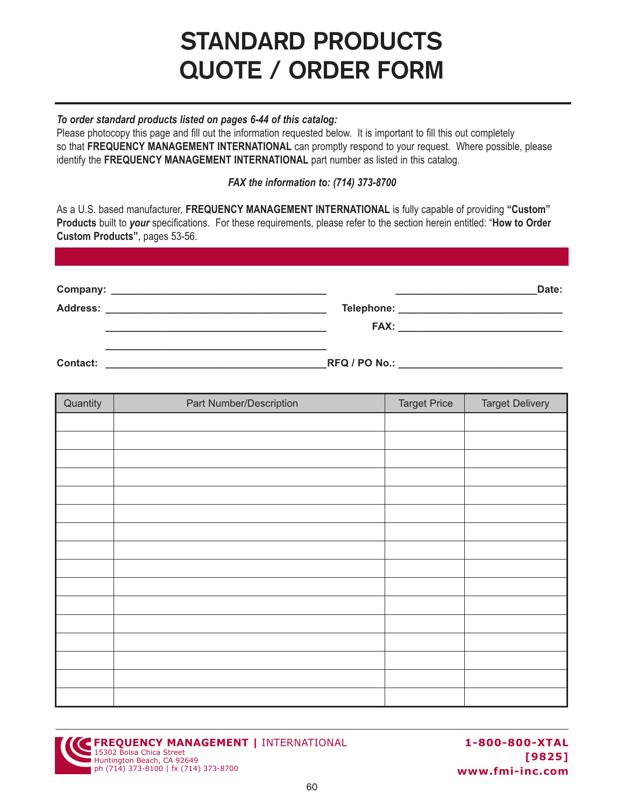# **STANDARD PRODUCTS QUOTE / ORDER FORM**

### *To order standard products listed on pages 6-44 of this catalog:*

Please photocopy this page and fill out the information requested below. It is important to fill this out completely so that **FREQUENCY MANAGEMENT INTERNATIONAL** can promptly respond to your request. Where possible, please identify the **FREQUENCY MANAGEMENT INTERNATIONAL** part number as listed in this catalog.

### *FAX the information to: (714) 373-8700*

As a U.S. based manufacturer, **FREQUENCY MANAGEMENT INTERNATIONAL** is fully capable of providing **"Custom" Products** built to *your* specifications. For these requirements, please refer to the section herein entitled: "**How to Order Custom Products"**, pages 53-56.

|          |                                         | Date: |
|----------|-----------------------------------------|-------|
|          | Telephone: ____________________________ |       |
|          |                                         |       |
| Contact: |                                         |       |

| Quantity | Part Number/Description | <b>Target Price</b> | <b>Target Delivery</b> |
|----------|-------------------------|---------------------|------------------------|
|          |                         |                     |                        |
|          |                         |                     |                        |
|          |                         |                     |                        |
|          |                         |                     |                        |
|          |                         |                     |                        |
|          |                         |                     |                        |
|          |                         |                     |                        |
|          |                         |                     |                        |
|          |                         |                     |                        |
|          |                         |                     |                        |
|          |                         |                     |                        |
|          |                         |                     |                        |
|          |                         |                     |                        |
|          |                         |                     |                        |
|          |                         |                     |                        |
|          |                         |                     |                        |



**1-800-800-XTAL [9825] www.fmi-inc.com**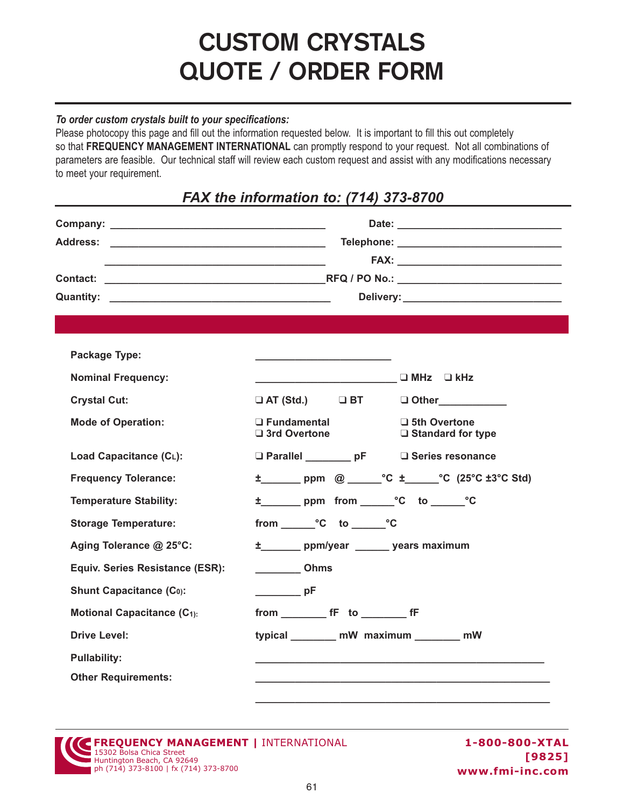# **CUSTOM CRYSTALS QUOTE / ORDER FORM**

### *To order custom crystals built to your specifications:*

Please photocopy this page and fill out the information requested below. It is important to fill this out completely so that **FREQUENCY MANAGEMENT INTERNATIONAL** can promptly respond to your request. Not all combinations of parameters are feasible. Our technical staff will review each custom request and assist with any modifications necessary to meet your requirement.

### *FAX the information to: (714) 373-8700*

|                                                                                                                                                                                                                                                                                                                                                                                     | Telephone: __________________________________                                                                                                                                                                                                                                                                                                                                                                                             |  |
|-------------------------------------------------------------------------------------------------------------------------------------------------------------------------------------------------------------------------------------------------------------------------------------------------------------------------------------------------------------------------------------|-------------------------------------------------------------------------------------------------------------------------------------------------------------------------------------------------------------------------------------------------------------------------------------------------------------------------------------------------------------------------------------------------------------------------------------------|--|
| Package Type:<br><b>Nominal Frequency:</b><br><b>Crystal Cut:</b><br><b>Mode of Operation:</b><br>Load Capacitance (CL):<br><b>Frequency Tolerance:</b><br><b>Temperature Stability:</b><br><b>Storage Temperature:</b><br>Aging Tolerance @ 25°C:<br>Equiv. Series Resistance (ESR):<br><b>Shunt Capacitance (Co):</b><br><b>Motional Capacitance (C1):</b><br><b>Drive Level:</b> | D MHz □ kHz<br>$\Box$ AT (Std.) $\Box$ BT<br>□ Other___________<br>$\Box$ Fundamental<br>$\Box$ 5th Overtone<br>$\Box$ 3rd Overtone<br>$\Box$ Standard for type<br>□ Parallel ________ pF<br>□ Series resonance<br>±_______ppm @______°C ±_____°C (25°C ±3°C Std)<br>from °C to °C<br>±_______ ppm/year ______ years maximum<br><b>COLORED COLORED</b><br>$\rightharpoonup$ pF<br>from fF to fF<br>typical ________ mW_maximum _______ mW |  |
| <b>Pullability:</b><br><b>Other Requirements:</b>                                                                                                                                                                                                                                                                                                                                   |                                                                                                                                                                                                                                                                                                                                                                                                                                           |  |

| <b>SEREQUENCY MANAGEMENT   INTERNATIONAL</b><br>15302 Bolsa Chica Street |  |
|--------------------------------------------------------------------------|--|
|                                                                          |  |
| Huntington Beach, CA 92649                                               |  |
| ph (714) 373-8100   fx (714) 373-8700                                    |  |

**1-800-800-XTAL [9825] www.fmi-inc.com**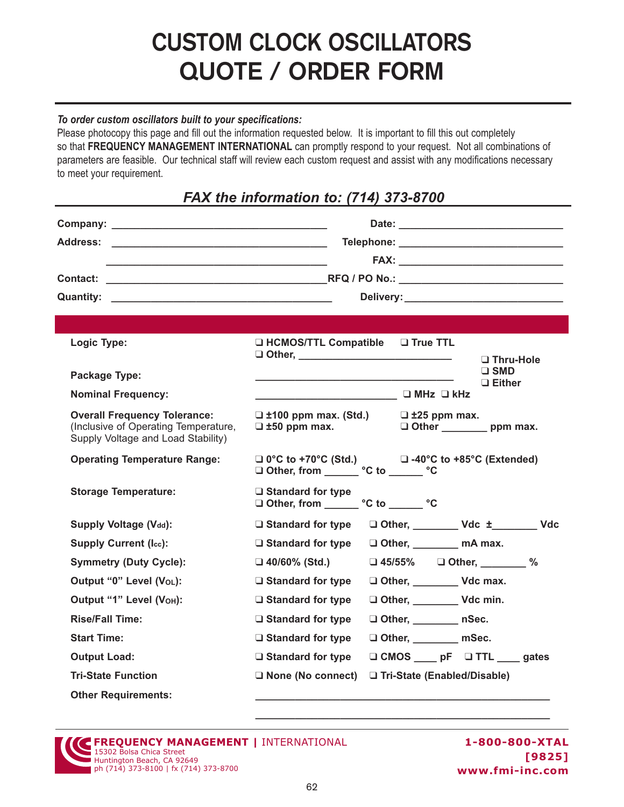# **CUSTOM CLOCK OSCILLATORS QUOTE / ORDER FORM**

#### *To order custom oscillators built to your specifications:*

Please photocopy this page and fill out the information requested below. It is important to fill this out completely so that **FREQUENCY MANAGEMENT INTERNATIONAL** can promptly respond to your request. Not all combinations of parameters are feasible. Our technical staff will review each custom request and assist with any modifications necessary to meet your requirement.

### *FAX the information to: (714) 373-8700*

|                                                                                                                   | Telephone: ________________________________                                                                   |  |
|-------------------------------------------------------------------------------------------------------------------|---------------------------------------------------------------------------------------------------------------|--|
|                                                                                                                   |                                                                                                               |  |
|                                                                                                                   |                                                                                                               |  |
|                                                                                                                   |                                                                                                               |  |
| Logic Type:                                                                                                       | □ HCMOS/TTL Compatible □ True TTL<br>□ Thru-Hole                                                              |  |
| <b>Package Type:</b>                                                                                              | $\Box$ SMD                                                                                                    |  |
| <b>Nominal Frequency:</b>                                                                                         | $\Box$ Either<br>────────────────────────── <sup>────</sup> ─── <sup>─────</sup> ── <sup>□</sup> MHz    □ kHz |  |
| <b>Overall Frequency Tolerance:</b><br>(Inclusive of Operating Temperature,<br>Supply Voltage and Load Stability) | $\Box$ ±100 ppm max. (Std.)<br>$\Box$ ±25 ppm max.<br>$\Box$ ±50 ppm max.<br>Other ___________ ppm max.       |  |
| <b>Operating Temperature Range:</b>                                                                               | $\Box$ 0°C to +70°C (Std.) $\Box$ -40°C to +85°C (Extended)<br>□ Other, from _______ °C to ______ °C          |  |
| <b>Storage Temperature:</b>                                                                                       | $\Box$ Standard for type<br>□ Other, from ______ °C to ______ °C                                              |  |
| Supply Voltage (V <sub>dd</sub> ):                                                                                | □ Other, __________ Vdc ±_________ Vdc<br>$\Box$ Standard for type                                            |  |
| <b>Supply Current (Icc):</b>                                                                                      | $\Box$ Standard for type<br>□ Other, _________ mA max.                                                        |  |
| <b>Symmetry (Duty Cycle):</b>                                                                                     | $\Box$ 45/55% $\Box$ Other, %<br>$\Box$ 40/60% (Std.)                                                         |  |
| Output "0" Level (VoL):                                                                                           | Other, ___________________ Vdc max.<br>$\Box$ Standard for type                                               |  |
| Output "1" Level (VOH):                                                                                           | Other, Vdc min.<br>$\Box$ Standard for type                                                                   |  |
| <b>Rise/Fall Time:</b>                                                                                            | Other, nSec.<br>$\Box$ Standard for type                                                                      |  |
| <b>Start Time:</b>                                                                                                | Other, mSec.<br>$\Box$ Standard for type                                                                      |  |
| <b>Output Load:</b>                                                                                               | □ CMOS pF □ TTL gates<br>$\Box$ Standard for type                                                             |  |
| <b>Tri-State Function</b>                                                                                         | $\Box$ None (No connect)<br>□ Tri-State (Enabled/Disable)                                                     |  |
| <b>Other Requirements:</b>                                                                                        |                                                                                                               |  |

**FREQUENCY MANAGEMENT |** INTERNATIONAL 15302 Bolsa Chica Street Huntington Beach, CA 92649 ph (714) 373-8100 | fx (714) 373-8700

**\_\_\_\_\_\_\_\_\_\_\_\_\_\_\_\_\_\_\_\_\_\_\_\_\_\_\_\_\_\_\_\_\_\_\_\_\_\_\_\_\_\_\_\_\_\_\_\_\_\_\_\_**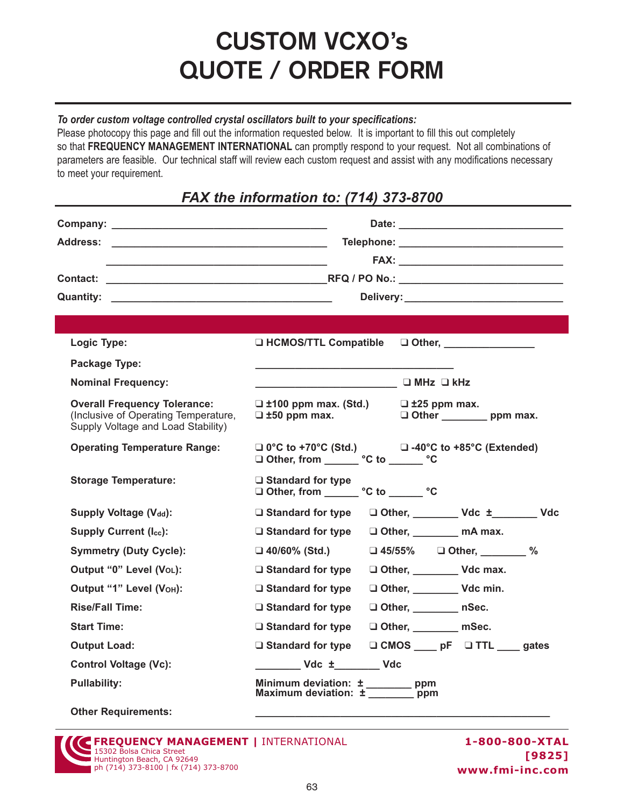## **CUSTOM VCXO's QUOTE / ORDER FORM**

#### *To order custom voltage controlled crystal oscillators built to your specifications:*

Please photocopy this page and fill out the information requested below. It is important to fill this out completely so that **FREQUENCY MANAGEMENT INTERNATIONAL** can promptly respond to your request. Not all combinations of parameters are feasible. Our technical staff will review each custom request and assist with any modifications necessary to meet your requirement.

## *FAX the information to: (714) 373-8700*

|                                                                                                                   | Telephone: _________________________________                                                              |  |
|-------------------------------------------------------------------------------------------------------------------|-----------------------------------------------------------------------------------------------------------|--|
|                                                                                                                   |                                                                                                           |  |
|                                                                                                                   |                                                                                                           |  |
|                                                                                                                   |                                                                                                           |  |
|                                                                                                                   |                                                                                                           |  |
| Logic Type:                                                                                                       | □ HCMOS/TTL Compatible<br>□ Other, ________________                                                       |  |
| <b>Package Type:</b>                                                                                              |                                                                                                           |  |
| <b>Nominal Frequency:</b>                                                                                         | ────────────────────────────── <sup>────</sup> ───── <sup>─────</sup> ── <sup>□</sup> MHz □ kHz           |  |
| <b>Overall Frequency Tolerance:</b><br>(Inclusive of Operating Temperature,<br>Supply Voltage and Load Stability) | $\Box$ ±100 ppm max. (Std.) $\Box$ ±25 ppm max.<br>Other ________________ ppm max.<br>$\Box$ ±50 ppm max. |  |
| <b>Operating Temperature Range:</b>                                                                               | $\Box$ 0°C to +70°C (Std.) $\Box$ -40°C to +85°C (Extended)                                               |  |
| <b>Storage Temperature:</b>                                                                                       | □ Standard for type<br>□ Other, from ______ °C to ______ °C                                               |  |
| <b>Supply Voltage (Vdd):</b>                                                                                      | □ Other, __________ Vdc ±________ Vdc<br>$\Box$ Standard for type                                         |  |
| <b>Supply Current (Icc):</b>                                                                                      | $\Box$ Standard for type<br>□ Other, _________ mA max.                                                    |  |
| <b>Symmetry (Duty Cycle):</b>                                                                                     | □ 45/55% □ Other, ________ %<br>$\Box$ 40/60% (Std.)                                                      |  |
| Output "0" Level (VoL):                                                                                           | $\Box$ Standard for type<br>Other, Vdc max.                                                               |  |
| Output "1" Level (VOH):                                                                                           | Other, Vdc min.<br>$\Box$ Standard for type                                                               |  |
| <b>Rise/Fall Time:</b>                                                                                            | $\Box$ Standard for type<br>□ Other, _________ nSec.                                                      |  |
| <b>Start Time:</b>                                                                                                | $\Box$ Standard for type<br>□ Other, ________ mSec.                                                       |  |
| <b>Output Load:</b>                                                                                               | □ CMOS ____ pF □ TTL ____ gates<br>$\Box$ Standard for type                                               |  |
| <b>Control Voltage (Vc):</b>                                                                                      | Vdc ± Vdc                                                                                                 |  |
| <b>Pullability:</b>                                                                                               | Minimum deviation: ± ________ ppm<br>Maximum deviation: ± _______ ppm                                     |  |
| <b>Other Requirements:</b>                                                                                        |                                                                                                           |  |